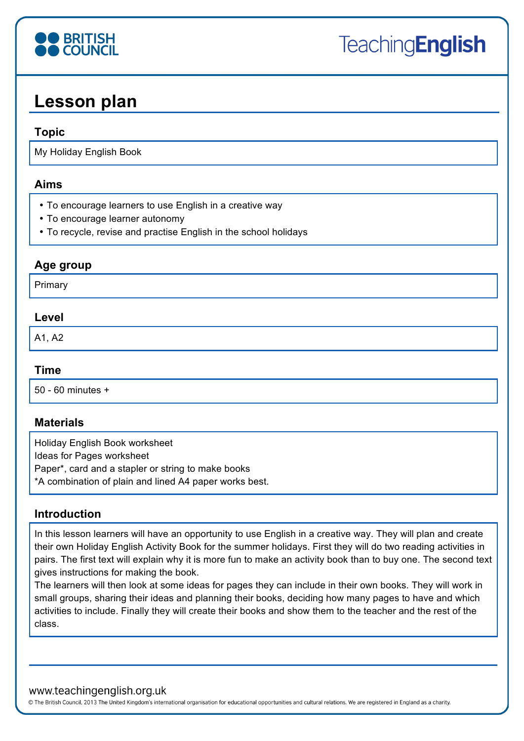

# **Lesson plan**

#### **Topic**

My Holiday English Book

#### **Aims**

- To encourage learners to use English in a creative way
- To encourage learner autonomy
- To recycle, revise and practise English in the school holidays

# **Age group**

Primary

### **Level**

A1, A2

#### **Time**

50 - 60 minutes +

#### **Materials**

Holiday English Book worksheet Ideas for Pages worksheet Paper\*, card and a stapler or string to make books \*A combination of plain and lined A4 paper works best.

#### **Introduction**

In this lesson learners will have an opportunity to use English in a creative way. They will plan and create their own Holiday English Activity Book for the summer holidays. First they will do two reading activities in pairs. The first text will explain why it is more fun to make an activity book than to buy one. The second text gives instructions for making the book.

The learners will then look at some ideas for pages they can include in their own books. They will work in small groups, sharing their ideas and planning their books, deciding how many pages to have and which activities to include. Finally they will create their books and show them to the teacher and the rest of the class.

#### www.teachingenglish.org.uk

© The British Council, 2013 The United Kingdom's international organisation for educational opportunities and cultural relations. We are registered in England as a charity.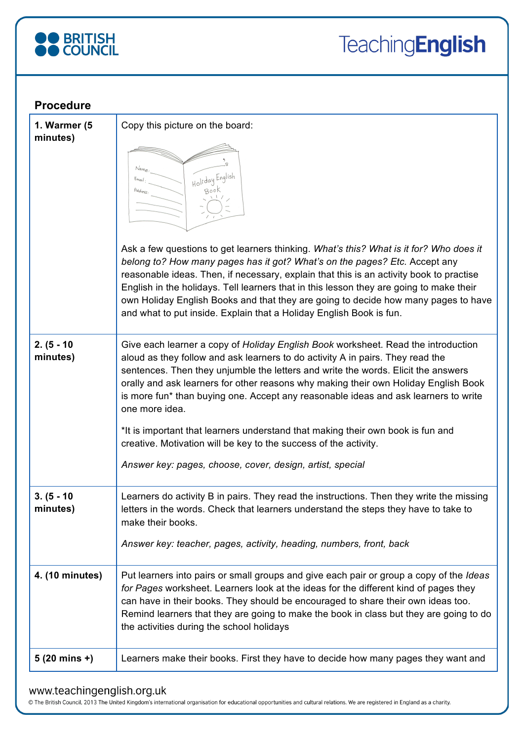

| <b>Procedure</b>          |                                                                                                                                                                                                                                                                                                                                                                                                                                                                                                                                                                                                                                                                              |
|---------------------------|------------------------------------------------------------------------------------------------------------------------------------------------------------------------------------------------------------------------------------------------------------------------------------------------------------------------------------------------------------------------------------------------------------------------------------------------------------------------------------------------------------------------------------------------------------------------------------------------------------------------------------------------------------------------------|
| 1. Warmer (5<br>minutes)  | Copy this picture on the board:<br>Holiday English<br>Ask a few questions to get learners thinking. What's this? What is it for? Who does it<br>belong to? How many pages has it got? What's on the pages? Etc. Accept any<br>reasonable ideas. Then, if necessary, explain that this is an activity book to practise<br>English in the holidays. Tell learners that in this lesson they are going to make their<br>own Holiday English Books and that they are going to decide how many pages to have<br>and what to put inside. Explain that a Holiday English Book is fun.                                                                                                |
| $2. (5 - 10)$<br>minutes) | Give each learner a copy of Holiday English Book worksheet. Read the introduction<br>aloud as they follow and ask learners to do activity A in pairs. They read the<br>sentences. Then they unjumble the letters and write the words. Elicit the answers<br>orally and ask learners for other reasons why making their own Holiday English Book<br>is more fun* than buying one. Accept any reasonable ideas and ask learners to write<br>one more idea.<br>*It is important that learners understand that making their own book is fun and<br>creative. Motivation will be key to the success of the activity.<br>Answer key: pages, choose, cover, design, artist, special |
| $3. (5 - 10)$<br>minutes) | Learners do activity B in pairs. They read the instructions. Then they write the missing<br>letters in the words. Check that learners understand the steps they have to take to<br>make their books.<br>Answer key: teacher, pages, activity, heading, numbers, front, back                                                                                                                                                                                                                                                                                                                                                                                                  |
| 4. (10 minutes)           | Put learners into pairs or small groups and give each pair or group a copy of the <i>Ideas</i><br>for Pages worksheet. Learners look at the ideas for the different kind of pages they<br>can have in their books. They should be encouraged to share their own ideas too.<br>Remind learners that they are going to make the book in class but they are going to do<br>the activities during the school holidays                                                                                                                                                                                                                                                            |
| $5(20 \text{ mins } +)$   | Learners make their books. First they have to decide how many pages they want and                                                                                                                                                                                                                                                                                                                                                                                                                                                                                                                                                                                            |

### www.teachingenglish.org.uk

© The British Council, 2013 The United Kingdom's international organisation for educational opportunities and cultural relations. We are registered in England as a charity.